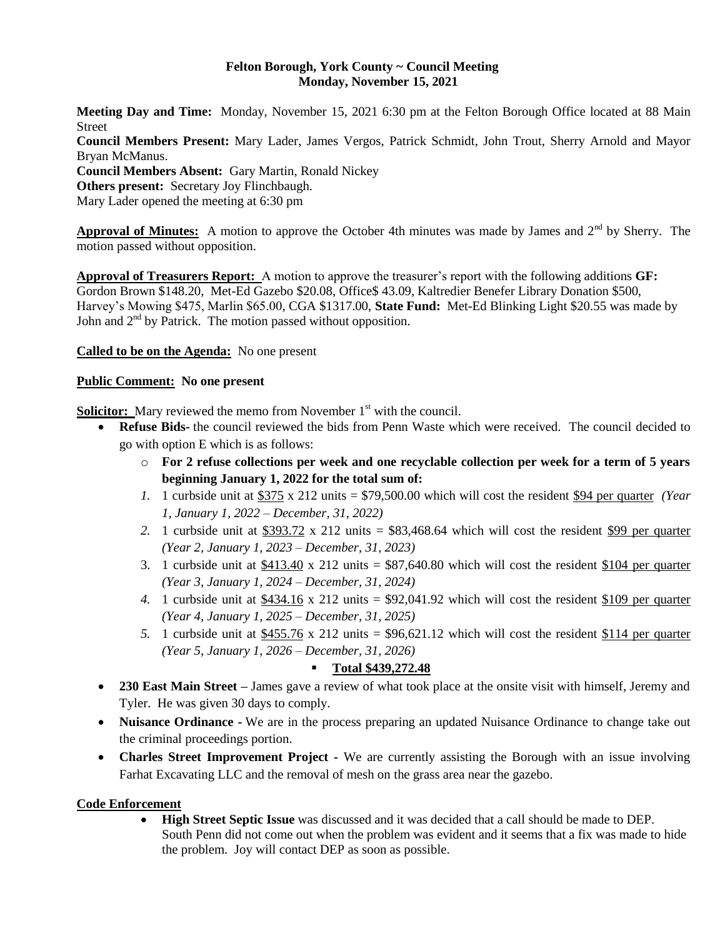#### **Felton Borough, York County ~ Council Meeting Monday, November 15, 2021**

**Meeting Day and Time:** Monday, November 15, 2021 6:30 pm at the Felton Borough Office located at 88 Main Street **Council Members Present:** Mary Lader, James Vergos, Patrick Schmidt, John Trout, Sherry Arnold and Mayor Bryan McManus. **Council Members Absent:** Gary Martin, Ronald Nickey **Others present:** Secretary Joy Flinchbaugh.

Mary Lader opened the meeting at 6:30 pm

Approval of Minutes: A motion to approve the October 4th minutes was made by James and 2<sup>nd</sup> by Sherry. The motion passed without opposition.

**Approval of Treasurers Report:** A motion to approve the treasurer's report with the following additions **GF:**  Gordon Brown \$148.20, Met-Ed Gazebo \$20.08, Office\$ 43.09, Kaltredier Benefer Library Donation \$500, Harvey's Mowing \$475, Marlin \$65.00, CGA \$1317.00, **State Fund:** Met-Ed Blinking Light \$20.55 was made by John and  $2^{nd}$  by Patrick. The motion passed without opposition.

**Called to be on the Agenda:** No one present

### **Public Comment: No one present**

**Solicitor:** Mary reviewed the memo from November 1<sup>st</sup> with the council.

- **Refuse Bids-** the council reviewed the bids from Penn Waste which were received. The council decided to go with option E which is as follows:
	- o **For 2 refuse collections per week and one recyclable collection per week for a term of 5 years beginning January 1, 2022 for the total sum of:**
	- *1.* 1 curbside unit at \$375 x 212 units = \$79,500.00 which will cost the resident \$94 per quarter *(Year 1, January 1, 2022 – December, 31, 2022)*
	- *2.* 1 curbside unit at \$393.72 x 212 units = \$83,468.64 which will cost the resident \$99 per quarter *(Year 2, January 1, 2023 – December, 31, 2023)*
	- 3. 1 curbside unit at  $$413.40 \times 212$  units =  $$87,640.80$  which will cost the resident \$104 per quarter *(Year 3, January 1, 2024 – December, 31, 2024)*
	- 4. 1 curbside unit at  $$434.16 \times 212$  units  $= $92,041.92$  which will cost the resident \$109 per quarter *(Year 4, January 1, 2025 – December, 31, 2025)*
	- 5. 1 curbside unit at  $$455.76 \times 212$  units  $= $96,621.12$  which will cost the resident \$114 per quarter *(Year 5, January 1, 2026 – December, 31, 2026)*

# **Total \$439,272.48**

- **230 East Main Street –** James gave a review of what took place at the onsite visit with himself, Jeremy and Tyler. He was given 30 days to comply.
- **Nuisance Ordinance -** We are in the process preparing an updated Nuisance Ordinance to change take out the criminal proceedings portion.
- **Charles Street Improvement Project -** We are currently assisting the Borough with an issue involving Farhat Excavating LLC and the removal of mesh on the grass area near the gazebo.

## **Code Enforcement**

 **High Street Septic Issue** was discussed and it was decided that a call should be made to DEP. South Penn did not come out when the problem was evident and it seems that a fix was made to hide the problem. Joy will contact DEP as soon as possible.